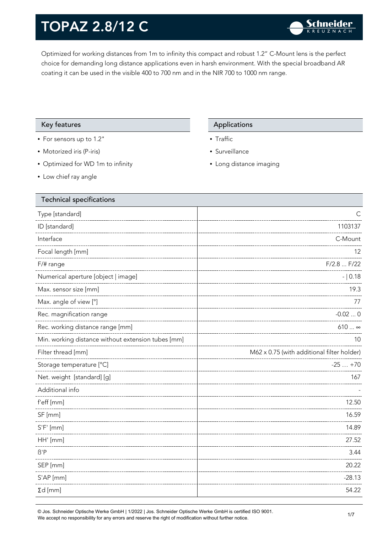Optimized for working distances from 1m to infinity this compact and robust 1.2" C-Mount lens is the perfect choice for demanding long distance applications even in harsh environment. With the special broadband AR coating it can be used in the visible 400 to 700 nm and in the NIR 700 to 1000 nm range.

### Key features **Applications** Applications

- For sensors up to 1.2"
- Motorized iris (P-iris)
- Optimized for WD 1m to infinity
- Low chief ray angle

- Traffic
- Surveillance
- Long distance imaging

| <b>Technical specifications</b>                    |                                            |
|----------------------------------------------------|--------------------------------------------|
| Type [standard]                                    | $\mathsf{C}$                               |
| ID [standard]                                      | 1103137                                    |
| Interface                                          | C-Mount                                    |
| Focal length [mm]                                  | 12                                         |
| F/# range                                          | F/2.8  F/22                                |
| Numerical aperture [object   image]                | $- 0.18$                                   |
| Max. sensor size [mm]                              | 19.3                                       |
| Max. angle of view [°]                             | 77                                         |
| Rec. magnification range                           | $-0.020$                                   |
| Rec. working distance range [mm]                   | $610 \infty$                               |
| Min. working distance without extension tubes [mm] | 10                                         |
| Filter thread [mm]                                 | M62 x 0.75 (with additional filter holder) |
| Storage temperature [°C]                           | $-25+70$                                   |
| Net. weight [standard] [g]                         | 167                                        |
| Additional info                                    |                                            |
| f'eff [mm]                                         | 12.50                                      |
| SF [mm]                                            | 16.59                                      |
| $S'F'$ [mm]                                        | 14.89                                      |
| HH' [mm]                                           | 27.52                                      |
| $\beta$ 'P                                         | 3.44                                       |
| SEP [mm]                                           | 20.22                                      |
| S'AP [mm]                                          | $-28.13$                                   |
| $\Sigma d$ [mm]                                    | 54.22                                      |
|                                                    |                                            |

© Jos. Schneider Optische Werke GmbH | 1/2022 | Jos. Schneider Optische Werke GmbH is certified ISO 9001. We accept no responsibility for any errors and reserve the right of modification without further notice.<br>We accept no responsibility for any errors and reserve the right of modification without further notice.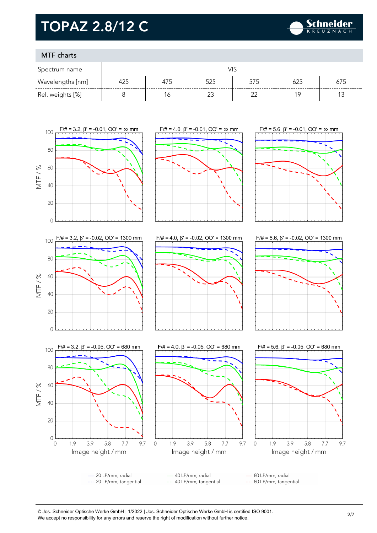

### MTF charts

| Spectrum name    | VIS |     |     |     |     |     |
|------------------|-----|-----|-----|-----|-----|-----|
| Wavelengths [nm] | 425 | 475 | 525 | 575 | 625 | 675 |
| Rel. weights [%] |     | 6   |     |     | 1 C |     |



© Jos. Schneider Optische Werke GmbH | 1/2022 | Jos. Schneider Optische Werke GmbH is certified ISO 9001. We accept no responsibility for any errors and reserve the right of modification without further notice.<br>We accept no responsibility for any errors and reserve the right of modification without further notice.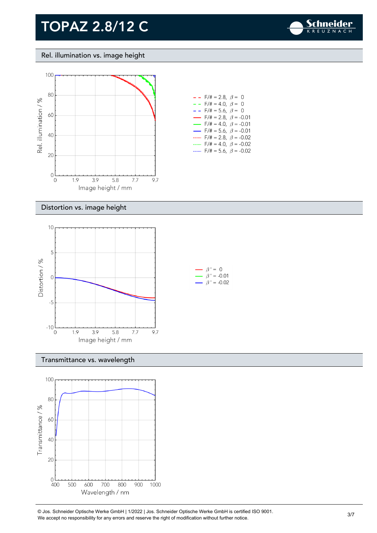

Rel. illumination vs. image height



#### Distortion vs. image height



#### Transmittance vs. wavelength



© Jos. Schneider Optische Werke GmbH | 1/2022 | Jos. Schneider Optische Werke GmbH is certified ISO 9001.  $\bullet$  Jos. Scrifierder Opuscrie werke Grillon | 1/2022 | Jos. Scrifierder Opuscrie werke Grillon is certified iSO 9001.<br>We accept no responsibility for any errors and reserve the right of modification without further notice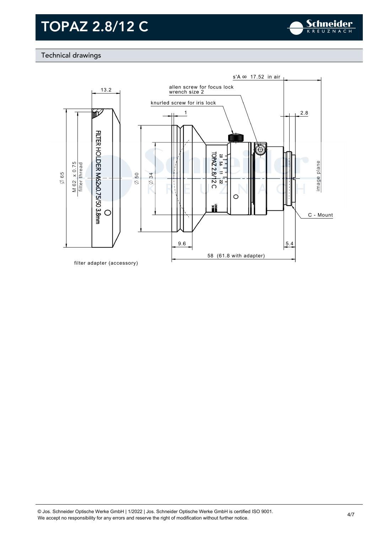

### Technical drawings

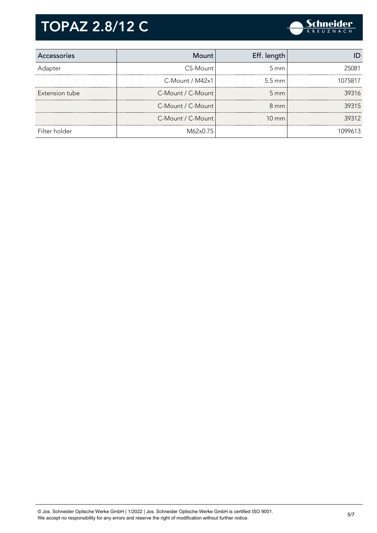

| Accessories    | <b>Mount</b>      | Eff. length      |         |
|----------------|-------------------|------------------|---------|
| Adapter        | CS-Mount          | $5 \, \text{mm}$ | 25081   |
|                | C-Mount / M42x1   | $5.5 \text{ mm}$ | 1075817 |
| Extension tube | C-Mount / C-Mount | $5 \, \text{mm}$ | 39316   |
|                | C-Mount / C-Mount | $8 \text{ mm}$   | 39315   |
|                | C-Mount / C-Mount | $10 \text{ mm}$  | 39312   |
| Filter holder  | M62x0.75          |                  | 1099613 |

© Jos. Schneider Optische Werke GmbH | 1/2022 | Jos. Schneider Optische Werke GmbH is certified ISO 9001. We Jos. Scrifielder Optische Werke Grifort | 1/2022 | Jos. Scrifielder Optische Werke Grifort is certified ISO 9001.<br>We accept no responsibility for any errors and reserve the right of modification without further notice.